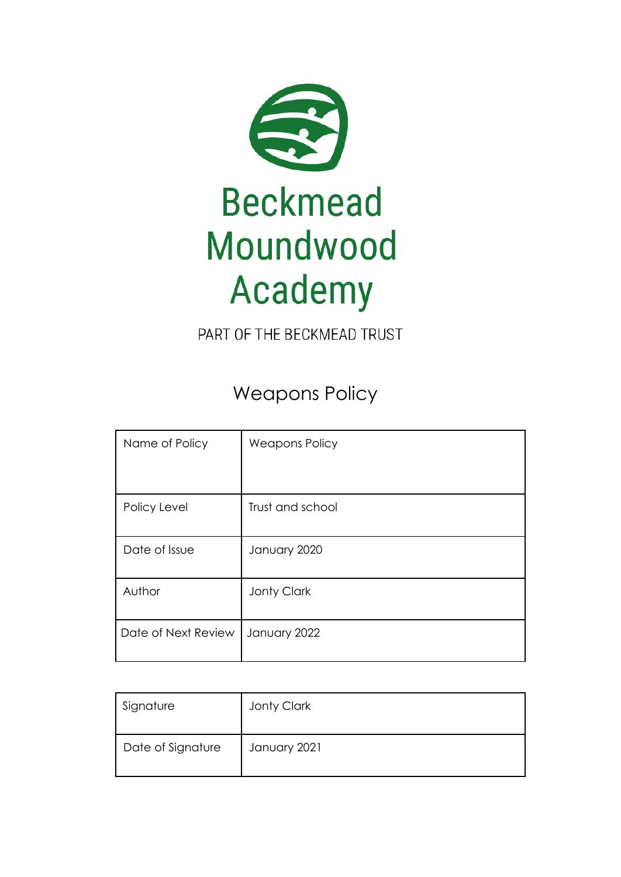

PART OF THE BECKMEAD TRUST

Weapons Policy

| Name of Policy      | <b>Weapons Policy</b> |
|---------------------|-----------------------|
|                     |                       |
| Policy Level        | Trust and school      |
| Date of Issue       | January 2020          |
| Author              | <b>Jonty Clark</b>    |
| Date of Next Review | January 2022          |

| Signature         | Jonty Clark  |
|-------------------|--------------|
| Date of Signature | January 2021 |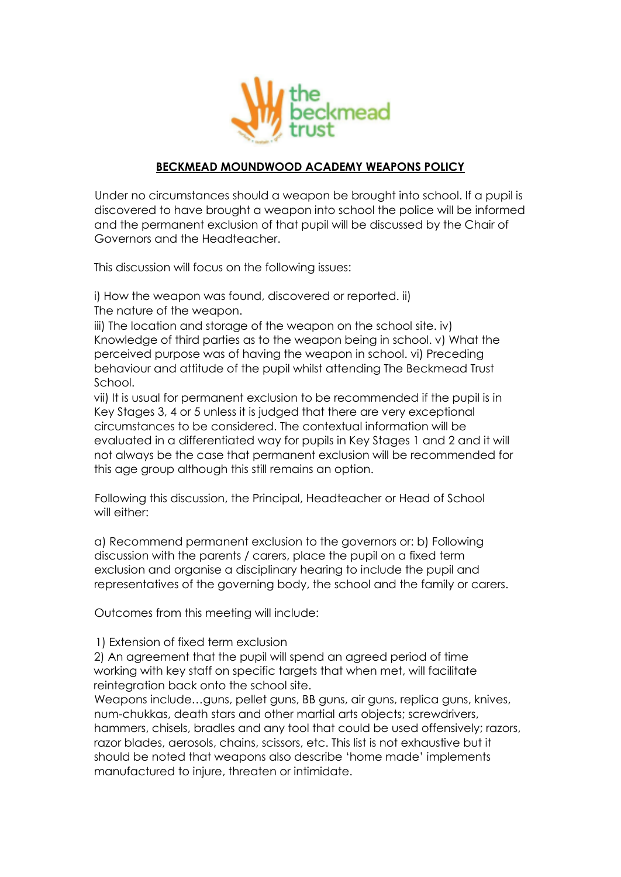

## **BECKMEAD MOUNDWOOD ACADEMY WEAPONS POLICY**

Under no circumstances should a weapon be brought into school. If a pupil is discovered to have brought a weapon into school the police will be informed and the permanent exclusion of that pupil will be discussed by the Chair of Governors and the Headteacher.

This discussion will focus on the following issues:

i) How the weapon was found, discovered or reported. ii) The nature of the weapon.

iii) The location and storage of the weapon on the school site. iv) Knowledge of third parties as to the weapon being in school. v) What the perceived purpose was of having the weapon in school. vi) Preceding behaviour and attitude of the pupil whilst attending The Beckmead Trust School.

vii) It is usual for permanent exclusion to be recommended if the pupil is in Key Stages 3, 4 or 5 unless it is judged that there are very exceptional circumstances to be considered. The contextual information will be evaluated in a differentiated way for pupils in Key Stages 1 and 2 and it will not always be the case that permanent exclusion will be recommended for this age group although this still remains an option.

Following this discussion, the Principal, Headteacher or Head of School will either:

a) Recommend permanent exclusion to the governors or: b) Following discussion with the parents / carers, place the pupil on a fixed term exclusion and organise a disciplinary hearing to include the pupil and representatives of the governing body, the school and the family or carers.

Outcomes from this meeting will include:

## 1) Extension of fixed term exclusion

2) An agreement that the pupil will spend an agreed period of time working with key staff on specific targets that when met, will facilitate reintegration back onto the school site.

Weapons include…guns, pellet guns, BB guns, air guns, replica guns, knives, num-chukkas, death stars and other martial arts objects; screwdrivers, hammers, chisels, bradles and any tool that could be used offensively; razors, razor blades, aerosols, chains, scissors, etc. This list is not exhaustive but it should be noted that weapons also describe 'home made' implements manufactured to injure, threaten or intimidate.